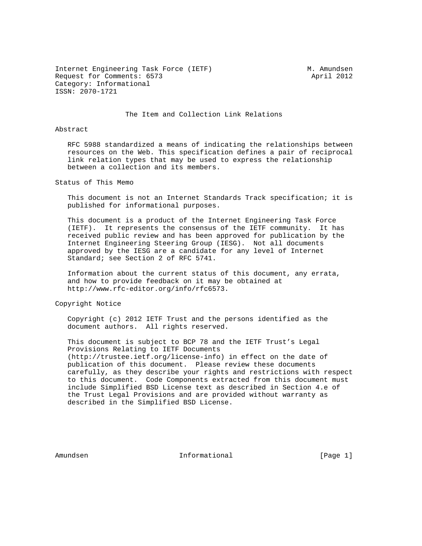Internet Engineering Task Force (IETF) M. Amundsen Request for Comments: 6573 April 2012 Category: Informational ISSN: 2070-1721

## The Item and Collection Link Relations

## Abstract

 RFC 5988 standardized a means of indicating the relationships between resources on the Web. This specification defines a pair of reciprocal link relation types that may be used to express the relationship between a collection and its members.

Status of This Memo

 This document is not an Internet Standards Track specification; it is published for informational purposes.

 This document is a product of the Internet Engineering Task Force (IETF). It represents the consensus of the IETF community. It has received public review and has been approved for publication by the Internet Engineering Steering Group (IESG). Not all documents approved by the IESG are a candidate for any level of Internet Standard; see Section 2 of RFC 5741.

 Information about the current status of this document, any errata, and how to provide feedback on it may be obtained at http://www.rfc-editor.org/info/rfc6573.

Copyright Notice

 Copyright (c) 2012 IETF Trust and the persons identified as the document authors. All rights reserved.

 This document is subject to BCP 78 and the IETF Trust's Legal Provisions Relating to IETF Documents (http://trustee.ietf.org/license-info) in effect on the date of publication of this document. Please review these documents carefully, as they describe your rights and restrictions with respect to this document. Code Components extracted from this document must include Simplified BSD License text as described in Section 4.e of the Trust Legal Provisions and are provided without warranty as described in the Simplified BSD License.

Amundsen 1. Informational 1. The Informational (Page 1)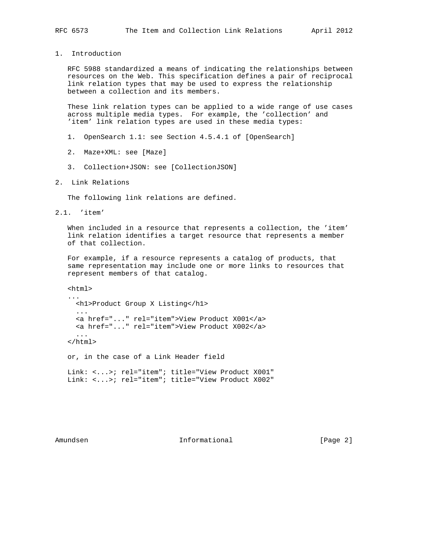1. Introduction

 RFC 5988 standardized a means of indicating the relationships between resources on the Web. This specification defines a pair of reciprocal link relation types that may be used to express the relationship between a collection and its members.

 These link relation types can be applied to a wide range of use cases across multiple media types. For example, the 'collection' and 'item' link relation types are used in these media types:

- 1. OpenSearch 1.1: see Section 4.5.4.1 of [OpenSearch]
- 2. Maze+XML: see [Maze]
- 3. Collection+JSON: see [CollectionJSON]
- 2. Link Relations

The following link relations are defined.

2.1. 'item'

 When included in a resource that represents a collection, the 'item' link relation identifies a target resource that represents a member of that collection.

 For example, if a resource represents a catalog of products, that same representation may include one or more links to resources that represent members of that catalog.

 <html> ... <h1>Product Group X Listing</h1> ... <a href="..." rel="item">View Product X001</a> <a href="..." rel="item">View Product X002</a> ... </html> or, in the case of a Link Header field Link: <...>; rel="item"; title="View Product X001" Link: <...>; rel="item"; title="View Product X002"

Amundsen 10 Informational 1999 (Page 2)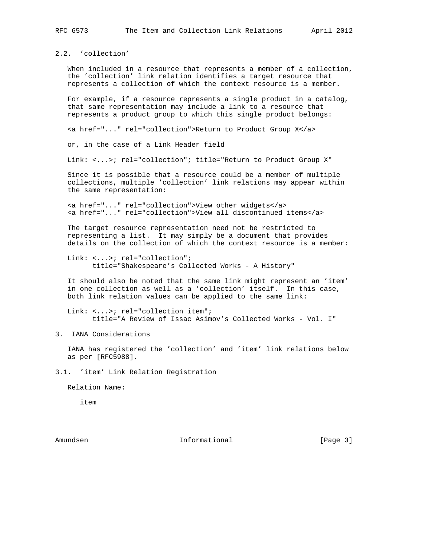2.2. 'collection'

 When included in a resource that represents a member of a collection, the 'collection' link relation identifies a target resource that represents a collection of which the context resource is a member.

 For example, if a resource represents a single product in a catalog, that same representation may include a link to a resource that represents a product group to which this single product belongs:

<a href="..." rel="collection">Return to Product Group X</a>

or, in the case of a Link Header field

Link: <...>; rel="collection"; title="Return to Product Group X"

 Since it is possible that a resource could be a member of multiple collections, multiple 'collection' link relations may appear within the same representation:

 <a href="..." rel="collection">View other widgets</a> <a href="..." rel="collection">View all discontinued items</a>

 The target resource representation need not be restricted to representing a list. It may simply be a document that provides details on the collection of which the context resource is a member:

Link: <...>; rel="collection"; title="Shakespeare's Collected Works - A History"

 It should also be noted that the same link might represent an 'item' in one collection as well as a 'collection' itself. In this case, both link relation values can be applied to the same link:

Link: <...>; rel="collection item"; title="A Review of Issac Asimov's Collected Works - Vol. I"

3. IANA Considerations

 IANA has registered the 'collection' and 'item' link relations below as per [RFC5988].

3.1. 'item' Link Relation Registration

Relation Name:

item

Amundsen 10 Informational 1999 (Page 3)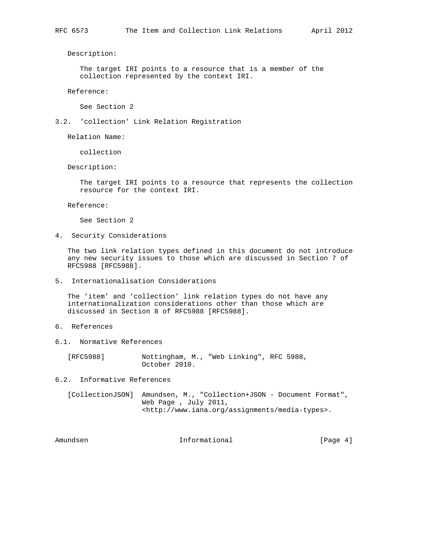Description:

 The target IRI points to a resource that is a member of the collection represented by the context IRI.

Reference:

See Section 2

3.2. 'collection' Link Relation Registration

Relation Name:

collection

Description:

 The target IRI points to a resource that represents the collection resource for the context IRI.

Reference:

See Section 2

4. Security Considerations

 The two link relation types defined in this document do not introduce any new security issues to those which are discussed in Section 7 of RFC5988 [RFC5988].

5. Internationalisation Considerations

 The 'item' and 'collection' link relation types do not have any internationalization considerations other than those which are discussed in Section 8 of RFC5988 [RFC5988].

- 6. References
- 6.1. Normative References

 [RFC5988] Nottingham, M., "Web Linking", RFC 5988, October 2010.

6.2. Informative References

 [CollectionJSON] Amundsen, M., "Collection+JSON - Document Format", Web Page , July 2011, <http://www.iana.org/assignments/media-types>.

Amundsen 10 Informational 1999 (Page 4)